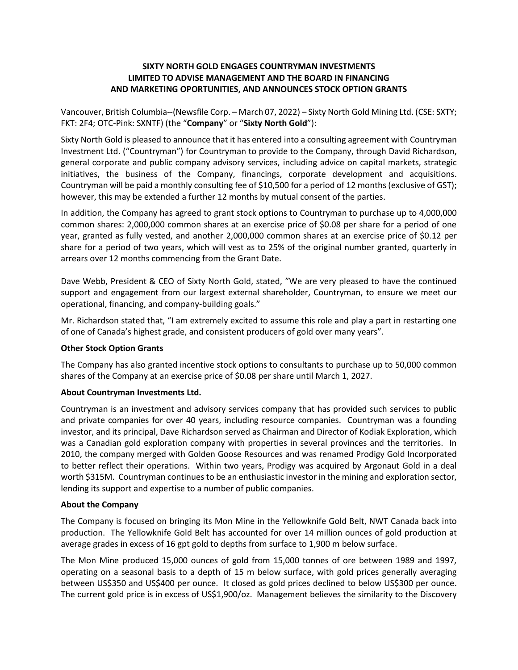### **SIXTY NORTH GOLD ENGAGES COUNTRYMAN INVESTMENTS LIMITED TO ADVISE MANAGEMENT AND THE BOARD IN FINANCING AND MARKETING OPORTUNITIES, AND ANNOUNCES STOCK OPTION GRANTS**

Vancouver, British Columbia--(Newsfile Corp. – March 07, 2022) – Sixty North Gold Mining Ltd. (CSE: SXTY; FKT: 2F4; OTC-Pink: SXNTF) (the "**Company**" or "**Sixty North Gold**"):

Sixty North Gold is pleased to announce that it has entered into a consulting agreement with Countryman Investment Ltd. ("Countryman") for Countryman to provide to the Company, through David Richardson, general corporate and public company advisory services, including advice on capital markets, strategic initiatives, the business of the Company, financings, corporate development and acquisitions. Countryman will be paid a monthly consulting fee of \$10,500 for a period of 12 months (exclusive of GST); however, this may be extended a further 12 months by mutual consent of the parties.

In addition, the Company has agreed to grant stock options to Countryman to purchase up to 4,000,000 common shares: 2,000,000 common shares at an exercise price of \$0.08 per share for a period of one year, granted as fully vested, and another 2,000,000 common shares at an exercise price of \$0.12 per share for a period of two years, which will vest as to 25% of the original number granted, quarterly in arrears over 12 months commencing from the Grant Date.

Dave Webb, President & CEO of Sixty North Gold, stated, "We are very pleased to have the continued support and engagement from our largest external shareholder, Countryman, to ensure we meet our operational, financing, and company-building goals."

Mr. Richardson stated that, "I am extremely excited to assume this role and play a part in restarting one of one of Canada's highest grade, and consistent producers of gold over many years".

#### **Other Stock Option Grants**

The Company has also granted incentive stock options to consultants to purchase up to 50,000 common shares of the Company at an exercise price of \$0.08 per share until March 1, 2027.

#### **About Countryman Investments Ltd.**

Countryman is an investment and advisory services company that has provided such services to public and private companies for over 40 years, including resource companies. Countryman was a founding investor, and its principal, Dave Richardson served as Chairman and Director of Kodiak Exploration, which was a Canadian gold exploration company with properties in several provinces and the territories. In 2010, the company merged with Golden Goose Resources and was renamed Prodigy Gold Incorporated to better reflect their operations. Within two years, Prodigy was acquired by Argonaut Gold in a deal worth \$315M. Countryman continues to be an enthusiastic investor in the mining and exploration sector, lending its support and expertise to a number of public companies.

#### **About the Company**

The Company is focused on bringing its Mon Mine in the Yellowknife Gold Belt, NWT Canada back into production. The Yellowknife Gold Belt has accounted for over 14 million ounces of gold production at average grades in excess of 16 gpt gold to depths from surface to 1,900 m below surface.

The Mon Mine produced 15,000 ounces of gold from 15,000 tonnes of ore between 1989 and 1997, operating on a seasonal basis to a depth of 15 m below surface, with gold prices generally averaging between US\$350 and US\$400 per ounce. It closed as gold prices declined to below US\$300 per ounce. The current gold price is in excess of US\$1,900/oz. Management believes the similarity to the Discovery